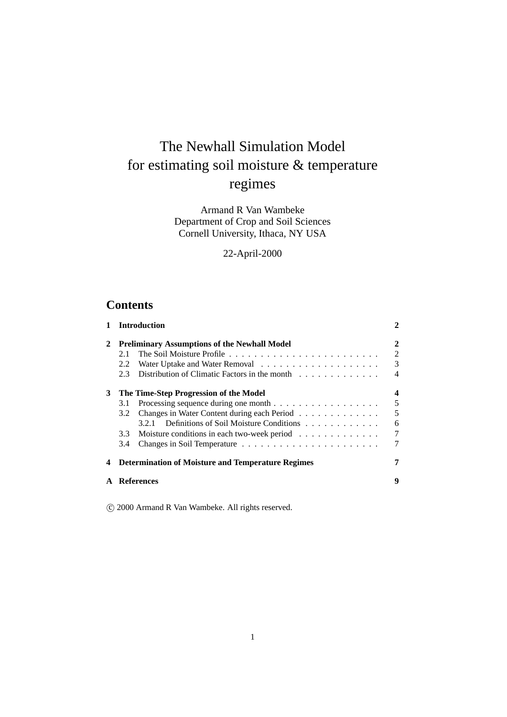# The Newhall Simulation Model for estimating soil moisture & temperature regimes

Armand R Van Wambeke Department of Crop and Soil Sciences Cornell University, Ithaca, NY USA

22-April-2000

## **Contents**

| 1 |                                                          | <b>Introduction</b>                                 | 2              |  |  |  |  |  |
|---|----------------------------------------------------------|-----------------------------------------------------|----------------|--|--|--|--|--|
| 2 |                                                          | <b>Preliminary Assumptions of the Newhall Model</b> | 2              |  |  |  |  |  |
|   | 2.1                                                      |                                                     | $\overline{2}$ |  |  |  |  |  |
|   | 2.2                                                      |                                                     | 3              |  |  |  |  |  |
|   | 2.3                                                      | Distribution of Climatic Factors in the month       | 4              |  |  |  |  |  |
| 3 | The Time-Step Progression of the Model                   |                                                     |                |  |  |  |  |  |
|   | 3.1                                                      |                                                     | 5              |  |  |  |  |  |
|   | 3.2                                                      | Changes in Water Content during each Period         | 5              |  |  |  |  |  |
|   |                                                          | Definitions of Soil Moisture Conditions<br>3.2.1    | 6              |  |  |  |  |  |
|   | 3.3                                                      | Moisture conditions in each two-week period         | $\tau$         |  |  |  |  |  |
|   | 3.4                                                      |                                                     | 7              |  |  |  |  |  |
| 4 | <b>Determination of Moisture and Temperature Regimes</b> |                                                     |                |  |  |  |  |  |
|   |                                                          | <b>References</b>                                   | 9              |  |  |  |  |  |
|   |                                                          |                                                     |                |  |  |  |  |  |

c 2000 Armand R Van Wambeke. All rights reserved.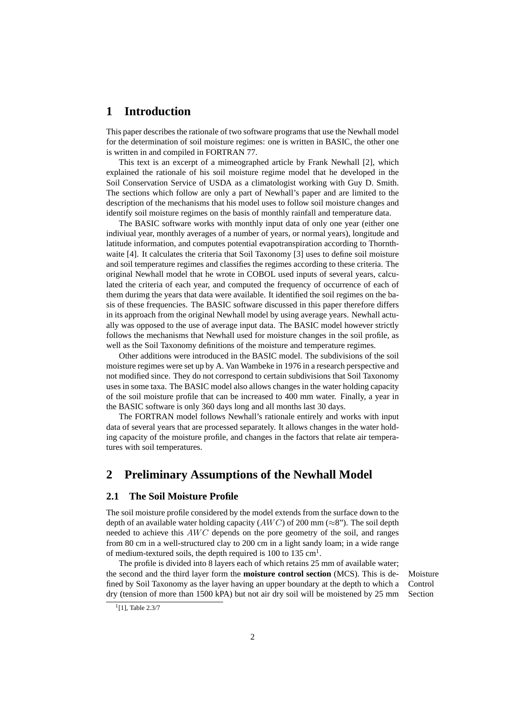### **1 Introduction**

This paper describes the rationale of two software programs that use the Newhall model for the determination of soil moisture regimes: one is written in BASIC, the other one is written in and compiled in FORTRAN 77.

This text is an excerpt of a mimeographed article by Frank Newhall [2], which explained the rationale of his soil moisture regime model that he developed in the Soil Conservation Service of USDA as a climatologist working with Guy D. Smith. The sections which follow are only a part of Newhall's paper and are limited to the description of the mechanisms that his model uses to follow soil moisture changes and identify soil moisture regimes on the basis of monthly rainfall and temperature data.

The BASIC software works with monthly input data of only one year (either one indiviual year, monthly averages of a number of years, or normal years), longitude and latitude information, and computes potential evapotranspiration according to Thornthwaite [4]. It calculates the criteria that Soil Taxonomy [3] uses to define soil moisture and soil temperature regimes and classifies the regimes according to these criteria. The original Newhall model that he wrote in COBOL used inputs of several years, calculated the criteria of each year, and computed the frequency of occurrence of each of them durimg the years that data were available. It identified the soil regimes on the basis of these frequencies. The BASIC software discussed in this paper therefore differs in its approach from the original Newhall model by using average years. Newhall actually was opposed to the use of average input data. The BASIC model however strictly follows the mechanisms that Newhall used for moisture changes in the soil profile, as well as the Soil Taxonomy definitions of the moisture and temperature regimes.

Other additions were introduced in the BASIC model. The subdivisions of the soil moisture regimes were set up by A. Van Wambeke in 1976 in a research perspective and not modified since. They do not correspond to certain subdivisions that Soil Taxonomy uses in some taxa. The BASIC model also allows changes in the water holding capacity of the soil moisture profile that can be increased to 400 mm water. Finally, a year in the BASIC software is only 360 days long and all months last 30 days.

The FORTRAN model follows Newhall's rationale entirely and works with input data of several years that are processed separately. It allows changes in the water holding capacity of the moisture profile, and changes in the factors that relate air temperatures with soil temperatures.

### **2 Preliminary Assumptions of the Newhall Model**

#### **2.1 The Soil Moisture Profile**

The soil moisture profile considered by the model extends from the surface down to the depth of an available water holding capacity ( $AWC$ ) of 200 mm ( $\approx 8$ "). The soil depth needed to achieve this  $AWC$  depends on the pore geometry of the soil, and ranges from 80 cm in a well-structured clay to 200 cm in a light sandy loam; in a wide range of medium-textured soils, the depth required is 100 to 135  $cm<sup>1</sup>$ .

The profile is divided into 8 layers each of which retains 25 mm of available water; the second and the third layer form the **moisture control section** (MCS). This is de- Moisture fined by Soil Taxonomy as the layer having an upper boundary at the depth to which a dry (tension of more than 1500 kPA) but not air dry soil will be moistened by 25 mm

Control Section

<sup>&</sup>lt;sup>1</sup>[1], Table 2.3/7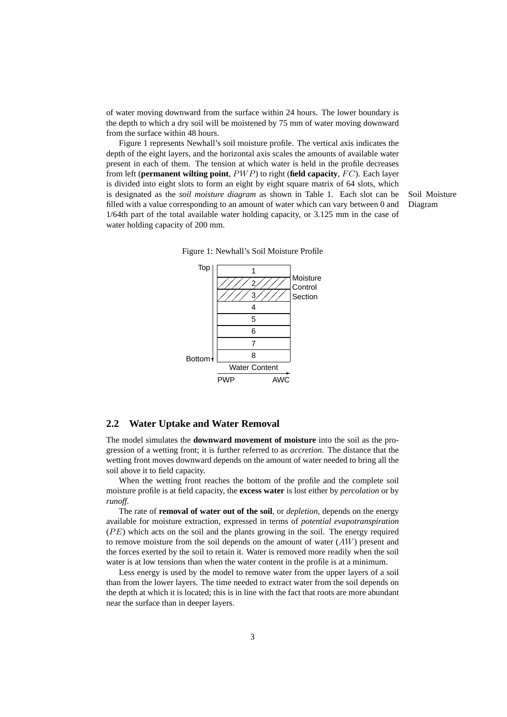of water moving downward from the surface within 24 hours. The lower boundary is the depth to which a dry soil will be moistened by 75 mm of water moving downward from the surface within 48 hours.

Figure 1 represents Newhall's soil moisture profile. The vertical axis indicates the depth of the eight layers, and the horizontal axis scales the amounts of available water present in each of them. The tension at which water is held in the profile decreases from left (**permanent wilting point**, PWP) to right (**field capacity**, FC). Each layer is divided into eight slots to form an eight by eight square matrix of 64 slots, which is designated as the *soil moisture diagram* as shown in Table 1. Each slot can be Soil Moisture filled with a value corresponding to an amount of water which can vary between 0 and Diagram 1/64th part of the total available water holding capacity, or 3.125 mm in the case of water holding capacity of 200 mm.



Figure 1: Newhall's Soil Moisture Profile

#### **2.2 Water Uptake and Water Removal**

The model simulates the **downward movement of moisture** into the soil as the progression of a wetting front; it is further referred to as *accretion*. The distance that the wetting front moves downward depends on the amount of water needed to bring all the soil above it to field capacity.

When the wetting front reaches the bottom of the profile and the complete soil moisture profile is at field capacity, the **excess water** is lost either by *percolation* or by *runoff*.

The rate of **removal of water out of the soil**, or *depletion*, depends on the energy available for moisture extraction, expressed in terms of *potential evapotranspiration*  $(PE)$  which acts on the soil and the plants growing in the soil. The energy required to remove moisture from the soil depends on the amount of water  $(AW)$  present and the forces exerted by the soil to retain it. Water is removed more readily when the soil water is at low tensions than when the water content in the profile is at a minimum.

Less energy is used by the model to remove water from the upper layers of a soil than from the lower layers. The time needed to extract water from the soil depends on the depth at which it is located; this is in line with the fact that roots are more abundant near the surface than in deeper layers.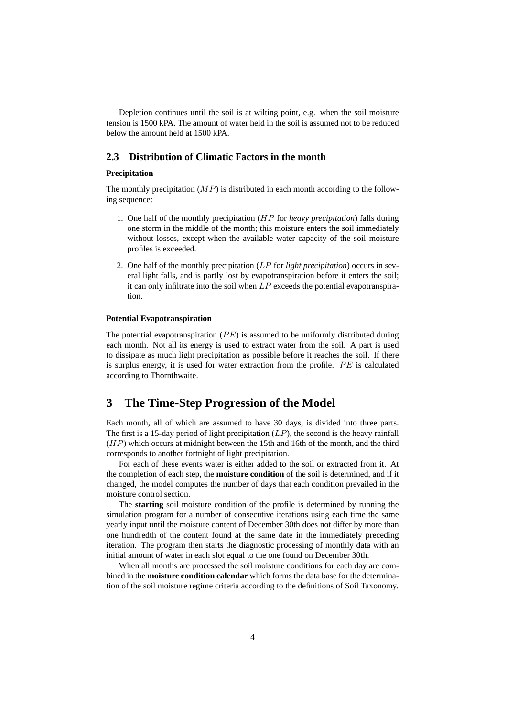Depletion continues until the soil is at wilting point, e.g. when the soil moisture tension is 1500 kPA. The amount of water held in the soil is assumed not to be reduced below the amount held at 1500 kPA.

#### **2.3 Distribution of Climatic Factors in the month**

#### **Precipitation**

The monthly precipitation  $(MP)$  is distributed in each month according to the following sequence:

- 1. One half of the monthly precipitation (HP for *heavy precipitation*) falls during one storm in the middle of the month; this moisture enters the soil immediately without losses, except when the available water capacity of the soil moisture profiles is exceeded.
- 2. One half of the monthly precipitation (LP for *light precipitation*) occurs in several light falls, and is partly lost by evapotranspiration before it enters the soil; it can only infiltrate into the soil when  $LP$  exceeds the potential evapotranspiration.

#### **Potential Evapotranspiration**

The potential evapotranspiration  $(PE)$  is assumed to be uniformly distributed during each month. Not all its energy is used to extract water from the soil. A part is used to dissipate as much light precipitation as possible before it reaches the soil. If there is surplus energy, it is used for water extraction from the profile.  $PE$  is calculated according to Thornthwaite.

### **3 The Time-Step Progression of the Model**

Each month, all of which are assumed to have 30 days, is divided into three parts. The first is a 15-day period of light precipitation  $(LP)$ , the second is the heavy rainfall  $(HP)$  which occurs at midnight between the 15th and 16th of the month, and the third corresponds to another fortnight of light precipitation.

For each of these events water is either added to the soil or extracted from it. At the completion of each step, the **moisture condition** of the soil is determined, and if it changed, the model computes the number of days that each condition prevailed in the moisture control section.

The **starting** soil moisture condition of the profile is determined by running the simulation program for a number of consecutive iterations using each time the same yearly input until the moisture content of December 30th does not differ by more than one hundredth of the content found at the same date in the immediately preceding iteration. The program then starts the diagnostic processing of monthly data with an initial amount of water in each slot equal to the one found on December 30th.

When all months are processed the soil moisture conditions for each day are combined in the **moisture condition calendar** which forms the data base for the determination of the soil moisture regime criteria according to the definitions of Soil Taxonomy.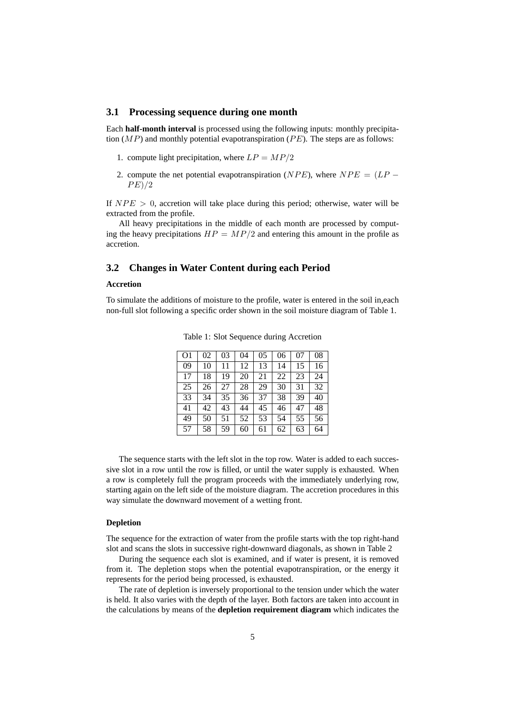#### **3.1 Processing sequence during one month**

Each **half-month interval** is processed using the following inputs: monthly precipitation  $(MP)$  and monthly potential evapotranspiration  $(PE)$ . The steps are as follows:

- 1. compute light precipitation, where  $LP = MP/2$
- 2. compute the net potential evapotranspiration ( $NPE$ ), where  $NPE = (LP PE)/2$

If  $NPE > 0$ , accretion will take place during this period; otherwise, water will be extracted from the profile.

All heavy precipitations in the middle of each month are processed by computing the heavy precipitations  $HP = MP/2$  and entering this amount in the profile as accretion.

#### **3.2 Changes in Water Content during each Period**

#### **Accretion**

To simulate the additions of moisture to the profile, water is entered in the soil in,each non-full slot following a specific order shown in the soil moisture diagram of Table 1.

| O1 | 02 | 03 | 04 | 05 | 06 | 07 | 08 |
|----|----|----|----|----|----|----|----|
| 09 | 10 | 11 | 12 | 13 | 14 | 15 | 16 |
| 17 | 18 | 19 | 20 | 21 | 22 | 23 | 24 |
| 25 | 26 | 27 | 28 | 29 | 30 | 31 | 32 |
| 33 | 34 | 35 | 36 | 37 | 38 | 39 | 40 |
| 41 | 42 | 43 | 44 | 45 | 46 | 47 | 48 |
| 49 | 50 | 51 | 52 | 53 | 54 | 55 | 56 |
| 57 | 58 | 59 | 60 | 61 | 62 | 63 | 64 |
|    |    |    |    |    |    |    |    |

Table 1: Slot Sequence during Accretion

The sequence starts with the left slot in the top row. Water is added to each successive slot in a row until the row is filled, or until the water supply is exhausted. When a row is completely full the program proceeds with the immediately underlying row, starting again on the left side of the moisture diagram. The accretion procedures in this way simulate the downward movement of a wetting front.

#### **Depletion**

The sequence for the extraction of water from the profile starts with the top right-hand slot and scans the slots in successive right-downward diagonals, as shown in Table 2

During the sequence each slot is examined, and if water is present, it is removed from it. The depletion stops when the potential evapotranspiration, or the energy it represents for the period being processed, is exhausted.

The rate of depletion is inversely proportional to the tension under which the water is held. It also varies with the depth of the layer. Both factors are taken into account in the calculations by means of the **depletion requirement diagram** which indicates the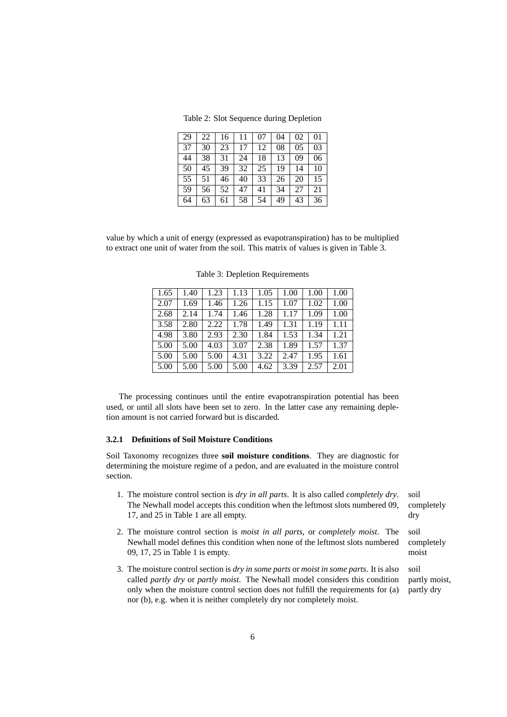Table 2: Slot Sequence during Depletion

| 29 | 22 | 16 | 11 | 07 | 04 | 02             | 01 |
|----|----|----|----|----|----|----------------|----|
| 37 | 30 | 23 | 17 | 12 | 08 | 0 <sub>5</sub> | 03 |
| 44 | 38 | 31 | 24 | 18 | 13 | 09             | 06 |
| 50 | 45 | 39 | 32 | 25 | 19 | 14             | 10 |
| 55 | 51 | 46 | 40 | 33 | 26 | 20             | 15 |
| 59 | 56 | 52 | 47 | 41 | 34 | 27             | 21 |
| 64 | 63 | 61 | 58 | 54 | 49 | 43             | 36 |

value by which a unit of energy (expressed as evapotranspiration) has to be multiplied to extract one unit of water from the soil. This matrix of values is given in Table 3.

| 1.65 | 1.40 | 1.23 | 1.13 | 1.05 | 1.00 | 1.00 | 1.00 |
|------|------|------|------|------|------|------|------|
| 2.07 | 1.69 | 1.46 | 1.26 | 1.15 | 1.07 | 1.02 | 1.00 |
| 2.68 | 2.14 | 1.74 | 1.46 | 1.28 | 1.17 | 1.09 | 1.00 |
| 3.58 | 2.80 | 2.22 | 1.78 | 1.49 | 1.31 | 1.19 | 1.11 |
| 4.98 | 3.80 | 2.93 | 2.30 | 1.84 | 1.53 | 1.34 | 1.21 |
| 5.00 | 5.00 | 4.03 | 3.07 | 2.38 | 1.89 | 1.57 | 1.37 |
| 5.00 | 5.00 | 5.00 | 4.31 | 3.22 | 2.47 | 1.95 | 1.61 |
| 5.00 | 5.00 | 5.00 | 5.00 | 4.62 | 3.39 | 2.57 | 2.01 |

Table 3: Depletion Requirements

The processing continues until the entire evapotranspiration potential has been used, or until all slots have been set to zero. In the latter case any remaining depletion amount is not carried forward but is discarded.

#### **3.2.1 Definitions of Soil Moisture Conditions**

Soil Taxonomy recognizes three **soil moisture conditions**. They are diagnostic for determining the moisture regime of a pedon, and are evaluated in the moisture control section.

- 1. The moisture control section is *dry in all parts*. It is also called *completely dry*. soil The Newhall model accepts this condition when the leftmost slots numbered 09, 17, and 25 in Table 1 are all empty.
- 2. The moisture control section is *moist in all parts*, or *completely moist*. The soil Newhall model defines this condition when none of the leftmost slots numbered 09, 17, 25 in Table 1 is empty.
- 3. The moisture control section is *dry in some parts* or *moist in some parts*. It is also soil called *partly dry* or *partly moist*. The Newhall model considers this condition only when the moisture control section does not fulfill the requirements for (a) nor (b), e.g. when it is neither completely dry nor completely moist.

completely dry

completely moist

partly moist, partly dry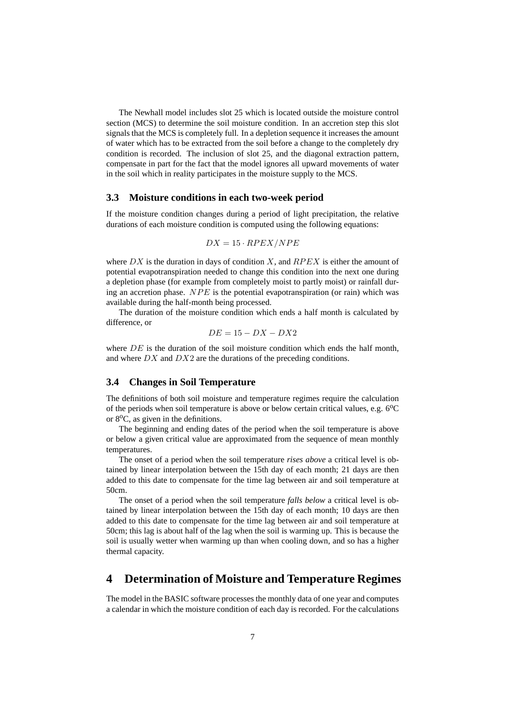The Newhall model includes slot 25 which is located outside the moisture control section (MCS) to determine the soil moisture condition. In an accretion step this slot signals that the MCS is completely full. In a depletion sequence it increases the amount of water which has to be extracted from the soil before a change to the completely dry condition is recorded. The inclusion of slot 25, and the diagonal extraction pattern, compensate in part for the fact that the model ignores all upward movements of water in the soil which in reality participates in the moisture supply to the MCS.

#### **3.3 Moisture conditions in each two-week period**

If the moisture condition changes during a period of light precipitation, the relative durations of each moisture condition is computed using the following equations:

$$
DX = 15 \cdot RPEX/NPE
$$

where  $DX$  is the duration in days of condition X, and  $RPEX$  is either the amount of potential evapotranspiration needed to change this condition into the next one during a depletion phase (for example from completely moist to partly moist) or rainfall during an accretion phase.  $NPE$  is the potential evapotranspiration (or rain) which was available during the half-month being processed.

The duration of the moisture condition which ends a half month is calculated by difference, or

$$
DE = 15 - DX - DX2
$$

where  $DE$  is the duration of the soil moisture condition which ends the half month, and where  $DX$  and  $DX2$  are the durations of the preceding conditions.

#### **3.4 Changes in Soil Temperature**

The definitions of both soil moisture and temperature regimes require the calculation of the periods when soil temperature is above or below certain critical values, e.g.  $6^{\circ}$ C or  $8^{\circ}$ C, as given in the definitions.

The beginning and ending dates of the period when the soil temperature is above or below a given critical value are approximated from the sequence of mean monthly temperatures.

The onset of a period when the soil temperature *rises above* a critical level is obtained by linear interpolation between the 15th day of each month; 21 days are then added to this date to compensate for the time lag between air and soil temperature at 50cm.

The onset of a period when the soil temperature *falls below* a critical level is obtained by linear interpolation between the 15th day of each month; 10 days are then added to this date to compensate for the time lag between air and soil temperature at 50cm; this lag is about half of the lag when the soil is warming up. This is because the soil is usually wetter when warming up than when cooling down, and so has a higher thermal capacity.

### **4 Determination of Moisture and Temperature Regimes**

The model in the BASIC software processes the monthly data of one year and computes a calendar in which the moisture condition of each day is recorded. For the calculations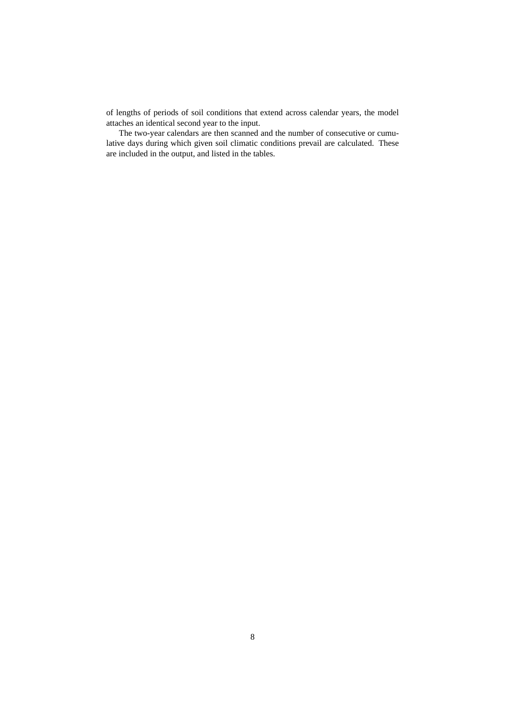of lengths of periods of soil conditions that extend across calendar years, the model attaches an identical second year to the input.

The two-year calendars are then scanned and the number of consecutive or cumulative days during which given soil climatic conditions prevail are calculated. These are included in the output, and listed in the tables.